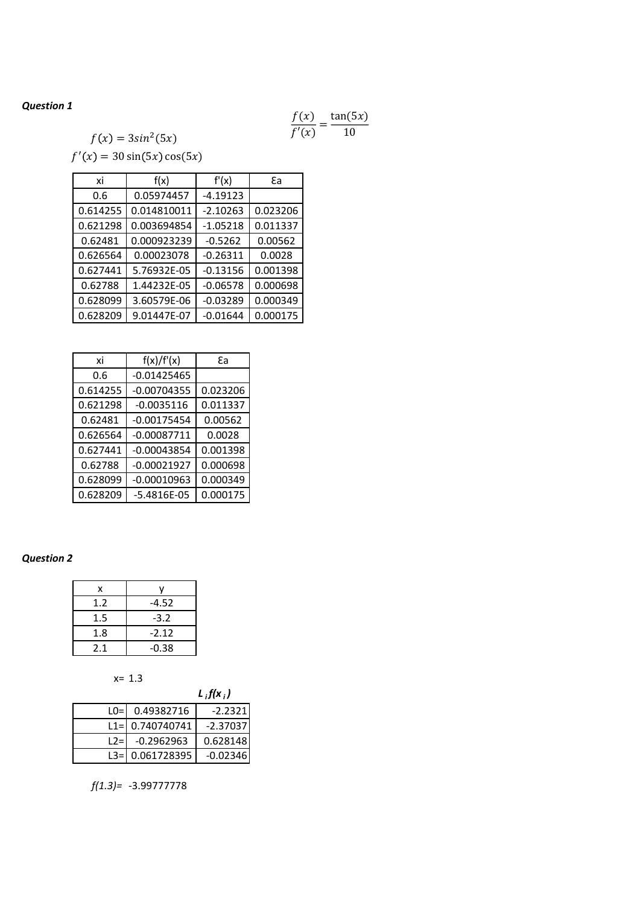# *Question 1*

$$
\frac{f(x)}{f'(x)} = \frac{\tan(5x)}{10}
$$

 $f(x) = 3\sin^2(5x)$ 

 $f'(x) = 30 \sin(5x) \cos(5x)$ 

| xi       | f(x)        | f'(x)      | ٤а       |
|----------|-------------|------------|----------|
| 0.6      | 0.05974457  | $-4.19123$ |          |
| 0.614255 | 0.014810011 | $-2.10263$ | 0.023206 |
| 0.621298 | 0.003694854 | $-1.05218$ | 0.011337 |
| 0.62481  | 0.000923239 | $-0.5262$  | 0.00562  |
| 0.626564 | 0.00023078  | $-0.26311$ | 0.0028   |
| 0.627441 | 5.76932E-05 | $-0.13156$ | 0.001398 |
| 0.62788  | 1.44232E-05 | $-0.06578$ | 0.000698 |
| 0.628099 | 3.60579E-06 | $-0.03289$ | 0.000349 |
| 0.628209 | 9.01447E-07 | $-0.01644$ | 0.000175 |

| xi       | f(x)/f'(x)      | ٤а       |
|----------|-----------------|----------|
| 0.6      | $-0.01425465$   |          |
| 0.614255 | $-0.00704355$   | 0.023206 |
| 0.621298 | $-0.0035116$    | 0.011337 |
| 0.62481  | $-0.00175454$   | 0.00562  |
| 0.626564 | $-0.00087711$   | 0.0028   |
| 0.627441 | $-0.00043854$   | 0.001398 |
| 0.62788  | $-0.00021927$   | 0.000698 |
| 0.628099 | $-0.00010963$   | 0.000349 |
| 0.628209 | $-5.4816E - 05$ | 0.000175 |

# *Question 2*

| x       |         |
|---------|---------|
| 1.2     | -4.52   |
| $1.5\,$ | $-3.2$  |
| 1.8     | $-2.12$ |
| 2.1     | $-0.38$ |



|       |                    | $L_i f(x_i)$ |
|-------|--------------------|--------------|
|       | $LO = 0.49382716$  | -2.2321      |
|       | $L1 = 0.740740741$ | $-2.37037$   |
| $L2=$ | $-0.2962963$       | 0.628148     |
|       | L3= 0.061728395    | $-0.02346$   |

*f(1.3)=* -3.99777778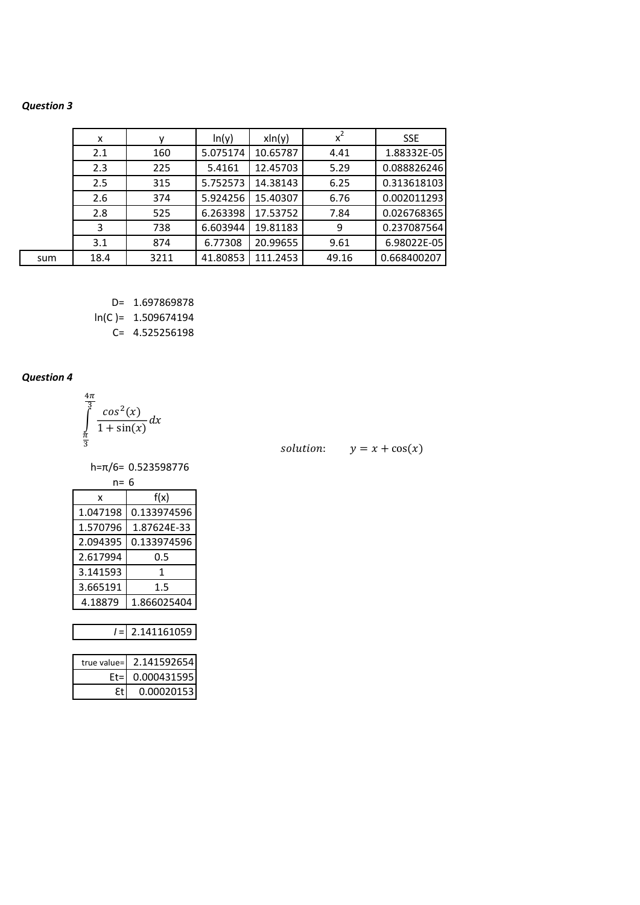### **Question 3**

|     | x    |      | ln(y)    | $x\ln(y)$ | $x^2$ | <b>SSE</b>  |
|-----|------|------|----------|-----------|-------|-------------|
|     | 2.1  | 160  | 5.075174 | 10.65787  | 4.41  | 1.88332E-05 |
|     | 2.3  | 225  | 5.4161   | 12.45703  | 5.29  | 0.088826246 |
|     | 2.5  | 315  | 5.752573 | 14.38143  | 6.25  | 0.313618103 |
|     | 2.6  | 374  | 5.924256 | 15.40307  | 6.76  | 0.002011293 |
|     | 2.8  | 525  | 6.263398 | 17.53752  | 7.84  | 0.026768365 |
|     | 3    | 738  | 6.603944 | 19.81183  | 9     | 0.237087564 |
|     | 3.1  | 874  | 6.77308  | 20.99655  | 9.61  | 6.98022E-05 |
| sum | 18.4 | 3211 | 41.80853 | 111.2453  | 49.16 | 0.668400207 |

D= 1.697869878  $ln(C) = 1.509674194$ 

C= 4.525256198

# **Question 4**

$$
\int_{\frac{\pi}{3}}^{\frac{4\pi}{3}} \frac{\cos^2(x)}{1+\sin(x)} dx
$$

solution:  $y = x + cos(x)$ 

 $h = \pi/6 = 0.523598776$ 

| n= 6     |             |  |  |
|----------|-------------|--|--|
| x        | f(x)        |  |  |
| 1.047198 | 0.133974596 |  |  |
| 1.570796 | 1.87624E-33 |  |  |
| 2.094395 | 0.133974596 |  |  |
| 2.617994 | 0.5         |  |  |
| 3.141593 | 1           |  |  |
| 3.665191 | 1.5         |  |  |
| 4.18879  | 1.866025404 |  |  |

 $I = 2.141161059$ 

| true value= 2.141592654 |
|-------------------------|
| 0.000431595             |
| 0.000201531             |